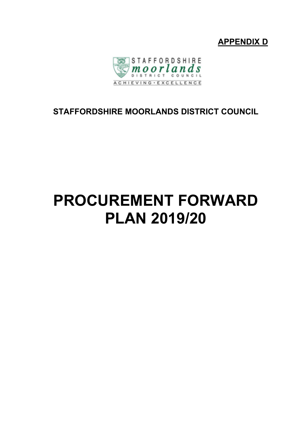



# **STAFFORDSHIRE MOORLANDS DISTRICT COUNCIL**

# **PROCUREMENT FORWARD PLAN 2019/20**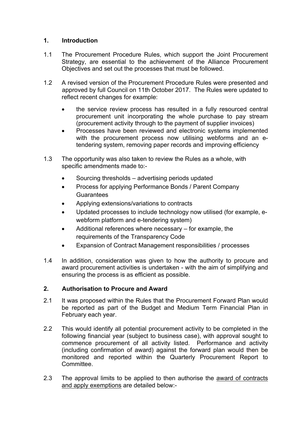## **1. Introduction**

- 1.1 The Procurement Procedure Rules, which support the Joint Procurement Strategy, are essential to the achievement of the Alliance Procurement Objectives and set out the processes that must be followed.
- 1.2 A revised version of the Procurement Procedure Rules were presented and approved by full Council on 11th October 2017. The Rules were updated to reflect recent changes for example:
	- the service review process has resulted in a fully resourced central procurement unit incorporating the whole purchase to pay stream (procurement activity through to the payment of supplier invoices)
	- Processes have been reviewed and electronic systems implemented with the procurement process now utilising webforms and an etendering system, removing paper records and improving efficiency
- 1.3 The opportunity was also taken to review the Rules as a whole, with specific amendments made to:-
	- Sourcing thresholds advertising periods updated
	- Process for applying Performance Bonds / Parent Company Guarantees
	- Applying extensions/variations to contracts
	- Updated processes to include technology now utilised (for example, ewebform platform and e-tendering system)
	- Additional references where necessary for example, the requirements of the Transparency Code
	- Expansion of Contract Management responsibilities / processes
- 1.4 In addition, consideration was given to how the authority to procure and award procurement activities is undertaken - with the aim of simplifying and ensuring the process is as efficient as possible.

## **2. Authorisation to Procure and Award**

- 2.1 It was proposed within the Rules that the Procurement Forward Plan would be reported as part of the Budget and Medium Term Financial Plan in February each year.
- 2.2 This would identify all potential procurement activity to be completed in the following financial year (subject to business case), with approval sought to commence procurement of all activity listed. Performance and activity (including confirmation of award) against the forward plan would then be monitored and reported within the Quarterly Procurement Report to **Committee.**
- 2.3 The approval limits to be applied to then authorise the award of contracts and apply exemptions are detailed below:-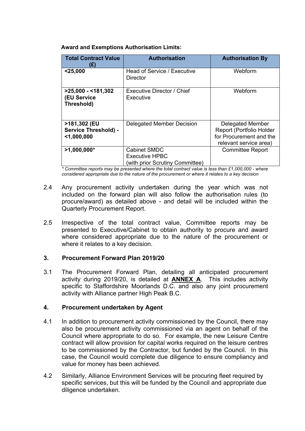| <b>Award and Exemptions Authorisation Limits:</b> |
|---------------------------------------------------|
|---------------------------------------------------|

| <b>Total Contract Value</b><br>(£)                           | <b>Authorisation</b>                                                            | <b>Authorisation By</b>                                                                           |
|--------------------------------------------------------------|---------------------------------------------------------------------------------|---------------------------------------------------------------------------------------------------|
| $25,000$                                                     | Head of Service / Executive<br>Director                                         | Webform                                                                                           |
| $>25,000 - 181,302$<br><b>(EU Service</b><br>Threshold)      | Executive Director / Chief<br>Executive                                         | Webform                                                                                           |
| >181,302 (EU<br><b>Service Threshold) -</b><br>$<$ 1,000,000 | Delegated Member Decision                                                       | Delegated Member<br>Report (Portfolio Holder<br>for Procurement and the<br>relevant service area) |
| $>1,000,000*$                                                | <b>Cabinet SMDC</b><br><b>Executive HPBC</b><br>(with prior Scrutiny Committee) | <b>Committee Report</b>                                                                           |

*\* Committee reports may be presented where the total contract value is less than £1,000,000 - where considered appropriate due to the nature of the procurement or where it relates to a key decision*

- 2.4 Any procurement activity undertaken during the year which was not included on the forward plan will also follow the authorisation rules (to procure/award) as detailed above - and detail will be included within the Quarterly Procurement Report.
- 2.5 Irrespective of the total contract value, Committee reports may be presented to Executive/Cabinet to obtain authority to procure and award where considered appropriate due to the nature of the procurement or where it relates to a key decision.

#### **3. Procurement Forward Plan 2019/20**

3.1 The Procurement Forward Plan, detailing all anticipated procurement activity during 2019/20, is detailed at **ANNEX A**. This includes activity specific to Staffordshire Moorlands D.C. and also any joint procurement activity with Alliance partner High Peak B.C.

#### **4. Procurement undertaken by Agent**

- 4.1 In addition to procurement activity commissioned by the Council, there may also be procurement activity commissioned via an agent on behalf of the Council where appropriate to do so. For example, the new Leisure Centre contract will allow provision for capital works required on the leisure centres to be commissioned by the Contractor, but funded by the Council. In this case, the Council would complete due diligence to ensure compliancy and value for money has been achieved.
- 4.2 Similarly, Alliance Environment Services will be procuring fleet required by specific services, but this will be funded by the Council and appropriate due diligence undertaken.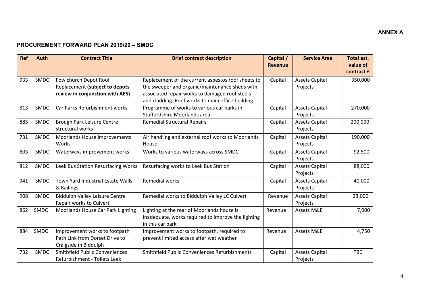#### **PROCUREMENT FORWARD PLAN 2019/20 – SMDC**

| <b>Ref</b> | <b>Auth</b> | <b>Contract Title</b>                                                                      | <b>Brief contract description</b>                                                                                                                      | Capital /<br><b>Revenue</b> | <b>Service Area</b>               | <b>Total est.</b><br>value of |
|------------|-------------|--------------------------------------------------------------------------------------------|--------------------------------------------------------------------------------------------------------------------------------------------------------|-----------------------------|-----------------------------------|-------------------------------|
|            |             |                                                                                            |                                                                                                                                                        |                             |                                   | contract £                    |
| 933        | SMDC        | Fowlchurch Depot Roof<br>Replacement (subject to depots<br>review in conjunction with AES) | Replacement of the current asbestos roof sheets to<br>the sweeper and organic/maintenance sheds with<br>associated repair works to damaged roof steels | Capital                     | <b>Assets Capital</b><br>Projects | 350,000                       |
|            |             |                                                                                            | and cladding. Roof works to main office building.                                                                                                      |                             |                                   |                               |
| 813        | <b>SMDC</b> | Car Parks Refurbishment works                                                              | Programme of works to various car parks in<br>Staffordshire Moorlands area                                                                             | Capital                     | <b>Assets Capital</b><br>Projects | 270,000                       |
| 885        | SMDC        | Brough Park Leisure Centre<br>structural works                                             | <b>Remedial Structural Repairs</b>                                                                                                                     | Capital                     | <b>Assets Capital</b><br>Projects | 200,000                       |
| 731        | <b>SMDC</b> | Moorlands House Improvements<br>Works                                                      | Air handling and external roof works to Moorlands<br>House                                                                                             | Capital                     | <b>Assets Capital</b><br>Projects | 190,000                       |
| 803        | SMDC        | Waterways improvement works                                                                | Works to various waterways across SMDC                                                                                                                 | Capital                     | <b>Assets Capital</b><br>Projects | 92,500                        |
| 812        | SMDC        | Leek Bus Station Resurfacing Works                                                         | Resurfacing works to Leek Bus Station                                                                                                                  | Capital                     | <b>Assets Capital</b><br>Projects | 88,000                        |
| 941        | SMDC        | Town Yard Industrial Estate Walls<br>& Railings                                            | <b>Remedial works</b>                                                                                                                                  | Capital                     | <b>Assets Capital</b><br>Projects | 40,000                        |
| 908        | <b>SMDC</b> | <b>Biddulph Valley Leisure Centre</b><br>Repair works to Culvert                           | Remedial works to Biddulph Valley LC Culvert                                                                                                           | Revenue                     | <b>Assets Capital</b><br>Projects | 23,000                        |
| 862        | SMDC        | Moorlands House Car Park Lighting                                                          | Lighting at the rear of Moorlands house is<br>inadequate, works required to improve the lighting<br>in this car park                                   | Revenue                     | Assets M&E                        | 7,000                         |
| 884        | <b>SMDC</b> | Improvement works to footpath<br>Path Link from Dorset Drive to<br>Craigside in Biddulph   | Improvement works to footpath, required to<br>prevent limited access after wet weather                                                                 | Revenue                     | Assets M&E                        | 4,750                         |
| 732        | SMDC        | <b>Smithfield Public Conveniences</b><br>Refurbishment - Toilets Leek                      | Smithfield Public Conveniences Refurbishments                                                                                                          | Capital                     | <b>Assets Capital</b><br>Projects | <b>TBC</b>                    |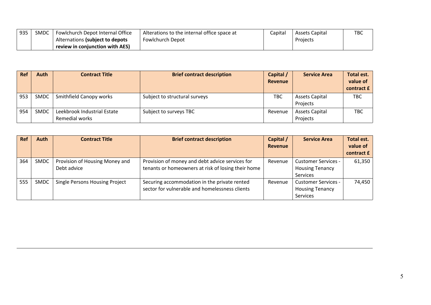| 935 | SMDC | <sup>1</sup> Fowlchurch Depot Internal Office | Alterations to the internal office space at | Capital | Assets Capital | TBC |
|-----|------|-----------------------------------------------|---------------------------------------------|---------|----------------|-----|
|     |      | Alternations (subject to depots               | Fowlchurch Depot                            |         | Projects       |     |
|     |      | review in coniunction with AES)               |                                             |         |                |     |

| <b>Ref</b> | Auth        | <b>Contract Title</b>                         | <b>Brief contract description</b> | Capital /<br><b>Revenue</b> | <b>Service Area</b>               | Total est.<br>value of<br>contract £ |
|------------|-------------|-----------------------------------------------|-----------------------------------|-----------------------------|-----------------------------------|--------------------------------------|
| 953        | <b>SMDC</b> | Smithfield Canopy works                       | Subject to structural surveys     | <b>TBC</b>                  | Assets Capital<br>Projects        | <b>TBC</b>                           |
| 954        | <b>SMDC</b> | Leekbrook Industrial Estate<br>Remedial works | Subject to surveys TBC            | Revenue                     | <b>Assets Capital</b><br>Projects | <b>TBC</b>                           |

| <b>Ref</b> | <b>Auth</b> | <b>Contract Title</b>                 | <b>Brief contract description</b>                  | Capital /      | <b>Service Area</b>        | Total est. |
|------------|-------------|---------------------------------------|----------------------------------------------------|----------------|----------------------------|------------|
|            |             |                                       |                                                    | <b>Revenue</b> |                            | value of   |
|            |             |                                       |                                                    |                |                            | contract £ |
| 364        | <b>SMDC</b> | Provision of Housing Money and        | Provision of money and debt advice services for    | Revenue        | <b>Customer Services -</b> | 61,350     |
|            |             | Debt advice                           | tenants or homeowners at risk of losing their home |                | <b>Housing Tenancy</b>     |            |
|            |             |                                       |                                                    |                | Services                   |            |
| 555        | <b>SMDC</b> | <b>Single Persons Housing Project</b> | Securing accommodation in the private rented       | Revenue        | <b>Customer Services -</b> | 74,450     |
|            |             |                                       | sector for vulnerable and homelessness clients     |                | <b>Housing Tenancy</b>     |            |
|            |             |                                       |                                                    |                | Services                   |            |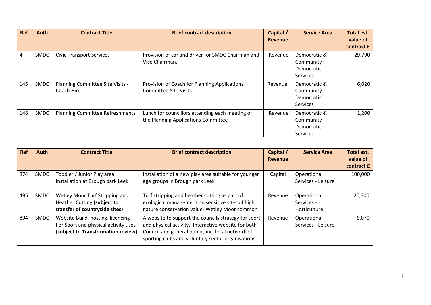| <b>Ref</b> | Auth        | <b>Contract Title</b>                          | <b>Brief contract description</b>                                                      | Capital /<br>Revenue | <b>Service Area</b>                                   | Total est.<br>value of<br>contract £ |
|------------|-------------|------------------------------------------------|----------------------------------------------------------------------------------------|----------------------|-------------------------------------------------------|--------------------------------------|
| 4          | <b>SMDC</b> | <b>Civic Transport Services</b>                | Provision of car and driver for SMDC Chairman and<br>Vice Chairman.                    | Revenue              | Democratic &<br>Community -<br>Democratic<br>Services | 29,790                               |
| 145        | SMDC        | Planning Committee Site Visits -<br>Coach Hire | Provision of Coach for Planning Applications<br><b>Committee Site Visits</b>           | Revenue              | Democratic &<br>Community -<br>Democratic<br>Services | 6,020                                |
| 148        | <b>SMDC</b> | <b>Planning Committee Refreshments</b>         | Lunch for councillors attending each meeting of<br>the Planning Applications Committee | Revenue              | Democratic &<br>Community -<br>Democratic<br>Services | 1,200                                |

| Ref | Auth | <b>Contract Title</b>                                                                                           | <b>Brief contract description</b>                                                                                                                                                                                      | Capital /<br>Revenue | <b>Service Area</b>                       | Total est.<br>value of<br>contract £ |
|-----|------|-----------------------------------------------------------------------------------------------------------------|------------------------------------------------------------------------------------------------------------------------------------------------------------------------------------------------------------------------|----------------------|-------------------------------------------|--------------------------------------|
| 874 | SMDC | Toddler / Junior Play area<br>Installation at Brough park Leek                                                  | Installation of a new play area suitable for younger<br>age groups in Brough park Leek                                                                                                                                 | Capital              | Operational<br>Services - Leisure         | 100,000                              |
| 495 | SMDC | Wetley Moor Turf Stripping and<br>Heather Cutting (subject to<br>transfer of countryside sites)                 | Turf stripping and heather cutting as part of<br>ecological management on sensitive sites of high<br>nature conservation value- Wetley Moor common                                                                     | Revenue              | Operational<br>Services -<br>Horticulture | 20,300                               |
| 894 | SMDC | Website Build, hosting, licencing<br>For Sport and physical activity uses<br>(subject to Transformation review) | A website to support the councils strategy for sport<br>and physical activity. Interactive website for both<br>Council and general public, inc. local network of<br>sporting clubs and voluntary sector organisations. | Revenue              | Operational<br>Services - Leisure         | 6,070                                |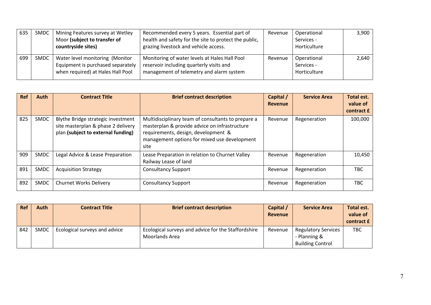| 635 | SMDC | Mining Features survey at Wetley<br>Moor (subject to transfer of<br>countryside sites)                    | Recommended every 5 years. Essential part of<br>health and safety for the site to protect the public,<br>grazing livestock and vehicle access. | Revenue | Operational<br>Services -<br>Horticulture | $3,900$ |
|-----|------|-----------------------------------------------------------------------------------------------------------|------------------------------------------------------------------------------------------------------------------------------------------------|---------|-------------------------------------------|---------|
| 699 | SMDC | Water level monitoring (Monitor<br>Equipment is purchased separately<br>when required) at Hales Hall Pool | Monitoring of water levels at Hales Hall Pool<br>reservoir including quarterly visits and<br>management of telemetry and alarm system          | Revenue | Operational<br>Services -<br>Horticulture | 2.640   |

| <b>Ref</b> | Auth        | <b>Contract Title</b>                                                                                          | <b>Brief contract description</b>                                                                                                                                                                  | Capital /<br>Revenue | <b>Service Area</b> | Total est.<br>value of<br>contract £ |
|------------|-------------|----------------------------------------------------------------------------------------------------------------|----------------------------------------------------------------------------------------------------------------------------------------------------------------------------------------------------|----------------------|---------------------|--------------------------------------|
| 825        | <b>SMDC</b> | Blythe Bridge strategic investment<br>site masterplan & phase 2 delivery<br>plan (subject to external funding) | Multidisciplinary team of consultants to prepare a<br>masterplan & provide advice on infrastructure<br>requirements, design, development &<br>management options for mixed use development<br>site | Revenue              | Regeneration        | 100,000                              |
| 909        | <b>SMDC</b> | Legal Advice & Lease Preparation                                                                               | Lease Preparation in relation to Churnet Valley<br>Railway Lease of land                                                                                                                           | Revenue              | Regeneration        | 10,450                               |
| 891        | <b>SMDC</b> | <b>Acquisition Strategy</b>                                                                                    | <b>Consultancy Support</b>                                                                                                                                                                         | Revenue              | Regeneration        | TBC                                  |
| 892        | <b>SMDC</b> | <b>Churnet Works Delivery</b>                                                                                  | <b>Consultancy Support</b>                                                                                                                                                                         | Revenue              | Regeneration        | TBC                                  |

| <b>Ref</b> | Auth        | <b>Contract Title</b>         | <b>Brief contract description</b>                                     | Capital /<br>Revenue | <b>Service Area</b>                                                   | Total est.<br>value of<br>contract £ |
|------------|-------------|-------------------------------|-----------------------------------------------------------------------|----------------------|-----------------------------------------------------------------------|--------------------------------------|
| 842        | <b>SMDC</b> | Ecological surveys and advice | Ecological surveys and advice for the Staffordshire<br>Moorlands Area | Revenue              | <b>Regulatory Services</b><br>- Planning &<br><b>Building Control</b> | <b>TBC</b>                           |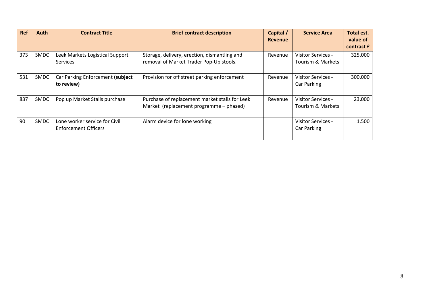| <b>Ref</b> | Auth        | <b>Contract Title</b>                                 | <b>Brief contract description</b>                                                         | Capital /<br><b>Revenue</b> | <b>Service Area</b>                     | Total est.<br>value of<br>contract £ |
|------------|-------------|-------------------------------------------------------|-------------------------------------------------------------------------------------------|-----------------------------|-----------------------------------------|--------------------------------------|
| 373        | <b>SMDC</b> | Leek Markets Logistical Support<br><b>Services</b>    | Storage, delivery, erection, dismantling and<br>removal of Market Trader Pop-Up stools.   | Revenue                     | Visitor Services -<br>Tourism & Markets | 325,000                              |
| 531        | SMDC        | Car Parking Enforcement (subject<br>to review)        | Provision for off street parking enforcement                                              | Revenue                     | Visitor Services -<br>Car Parking       | 300,000                              |
| 837        | <b>SMDC</b> | Pop up Market Stalls purchase                         | Purchase of replacement market stalls for Leek<br>Market (replacement programme - phased) | Revenue                     | Visitor Services -<br>Tourism & Markets | 23,000                               |
| 90         | <b>SMDC</b> | Lone worker service for Civil<br>Enforcement Officers | Alarm device for lone working                                                             |                             | Visitor Services -<br>Car Parking       | 1,500                                |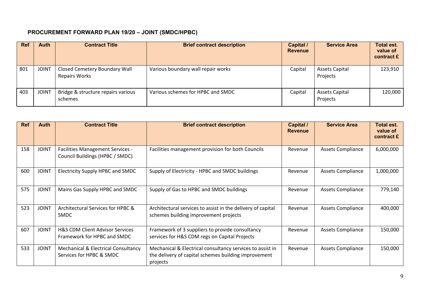# **PROCUREMENT FORWARD PLAN 19/20 – JOINT (SMDC/HPBC)**

| <b>Ref</b> | Auth         | <b>Contract Title</b>                                 | <b>Brief contract description</b>  | Capital /<br><b>Revenue</b> | <b>Service Area</b>               | <b>Total est.</b><br>value of<br>contract £ |
|------------|--------------|-------------------------------------------------------|------------------------------------|-----------------------------|-----------------------------------|---------------------------------------------|
| 801        | <b>JOINT</b> | Closed Cemetery Boundary Wall<br><b>Repairs Works</b> | Various boundary wall repair works | Capital                     | Assets Capital<br>Projects        | 123,910                                     |
| 403        | <b>JOINT</b> | Bridge & structure repairs various<br>schemes         | Various schemes for HPBC and SMDC  | Capital                     | <b>Assets Capital</b><br>Projects | 120,000                                     |

| <b>Ref</b> | Auth         | <b>Contract Title</b>                                                      | <b>Brief contract description</b>                                                                                             | Capital /<br><b>Revenue</b> | <b>Service Area</b>      | Total est.<br>value of<br>contract £ |
|------------|--------------|----------------------------------------------------------------------------|-------------------------------------------------------------------------------------------------------------------------------|-----------------------------|--------------------------|--------------------------------------|
| 158        | <b>JOINT</b> | <b>Facilities Management Services -</b><br>Council Buildings (HPBC / SMDC) | Facilities management provision for both Councils                                                                             | Revenue                     | <b>Assets Compliance</b> | 6,000,000                            |
| 600        | <b>JOINT</b> | Electricity Supply HPBC and SMDC                                           | Supply of Electricity - HPBC and SMDC buildings                                                                               | Revenue                     | <b>Assets Compliance</b> | 1,000,000                            |
| 575        | <b>JOINT</b> | Mains Gas Supply HPBC and SMDC                                             | Supply of Gas to HPBC and SMDC buildings                                                                                      | Revenue                     | <b>Assets Compliance</b> | 779,140                              |
| 523        | <b>JOINT</b> | Architectural Services for HPBC &<br><b>SMDC</b>                           | Architectural services to assist in the delivery of capital<br>schemes building improvement projects                          | Revenue                     | <b>Assets Compliance</b> | 400,000                              |
| 607        | <b>JOINT</b> | H&S CDM Client Advisor Services<br>Framework for HPBC and SMDC             | Framework of 3 suppliers to provide consultancy<br>services for H&S CDM regs on Capital Projects                              | Revenue                     | <b>Assets Compliance</b> | 150,000                              |
| 533        | <b>JOINT</b> | <b>Mechanical &amp; Electrical Consultancy</b><br>Services for HPBC & SMDC | Mechanical & Electrical consultancy services to assist in<br>the delivery of capital schemes building improvement<br>projects | Revenue                     | <b>Assets Compliance</b> | 150,000                              |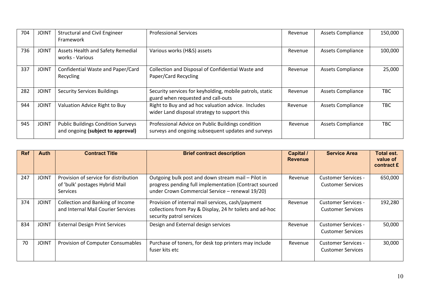| 704 | <b>JOINT</b> | <b>Structural and Civil Engineer</b><br>Framework                              | <b>Professional Services</b>                                                                            | Revenue | <b>Assets Compliance</b> | 150,000 |
|-----|--------------|--------------------------------------------------------------------------------|---------------------------------------------------------------------------------------------------------|---------|--------------------------|---------|
| 736 | <b>JOINT</b> | Assets Health and Safety Remedial<br>works - Various                           | Various works (H&S) assets                                                                              | Revenue | <b>Assets Compliance</b> | 100,000 |
| 337 | <b>JOINT</b> | Confidential Waste and Paper/Card<br>Recycling                                 | Collection and Disposal of Confidential Waste and<br>Paper/Card Recycling                               | Revenue | <b>Assets Compliance</b> | 25,000  |
| 282 | <b>JOINT</b> | <b>Security Services Buildings</b>                                             | Security services for keyholding, mobile patrols, static<br>guard when requested and call-outs          | Revenue | <b>Assets Compliance</b> | TBC     |
| 944 | <b>JOINT</b> | Valuation Advice Right to Buy                                                  | Right to Buy and ad hoc valuation advice. Includes<br>wider Land disposal strategy to support this      | Revenue | <b>Assets Compliance</b> | TBC     |
| 945 | <b>JOINT</b> | <b>Public Buildings Condition Surveys</b><br>and ongoing (subject to approval) | Professional Advice on Public Buildings condition<br>surveys and ongoing subsequent updates and surveys | Revenue | <b>Assets Compliance</b> | TBC     |

| <b>Ref</b> | Auth         | <b>Contract Title</b>                                                                      | <b>Brief contract description</b>                                                                                                                               | Capital /<br><b>Revenue</b> | <b>Service Area</b>                                    | Total est.<br>value of<br>contract £ |
|------------|--------------|--------------------------------------------------------------------------------------------|-----------------------------------------------------------------------------------------------------------------------------------------------------------------|-----------------------------|--------------------------------------------------------|--------------------------------------|
| 247        | <b>JOINT</b> | Provision of service for distribution<br>of 'bulk' postages Hybrid Mail<br><b>Services</b> | Outgoing bulk post and down stream mail - Pilot in<br>progress pending full implementation (Contract sourced<br>under Crown Commercial Service - renewal 19/20) | Revenue                     | <b>Customer Services -</b><br><b>Customer Services</b> | 650,000                              |
| 374        | <b>JOINT</b> | Collection and Banking of Income<br>and Internal Mail Courier Services                     | Provision of internal mail services, cash/payment<br>collections from Pay & Display, 24 hr toilets and ad-hoc<br>security patrol services                       | Revenue                     | <b>Customer Services -</b><br><b>Customer Services</b> | 192,280                              |
| 834        | <b>JOINT</b> | <b>External Design Print Services</b>                                                      | Design and External design services                                                                                                                             | Revenue                     | <b>Customer Services -</b><br><b>Customer Services</b> | 50,000                               |
| 70         | <b>JOINT</b> | Provision of Computer Consumables                                                          | Purchase of toners, for desk top printers may include<br>fuser kits etc                                                                                         | Revenue                     | <b>Customer Services -</b><br><b>Customer Services</b> | 30,000                               |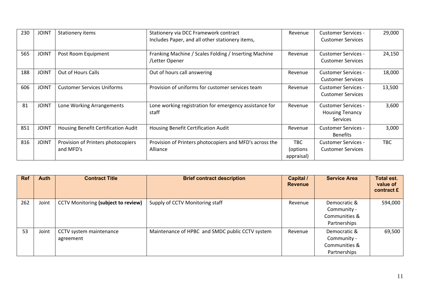| 230 | <b>JOINT</b> | Stationery items                                | Stationery via DCC Framework contract<br>Includes Paper, and all other stationery items, | Revenue                               | <b>Customer Services -</b><br><b>Customer Services</b>           | 29,000     |
|-----|--------------|-------------------------------------------------|------------------------------------------------------------------------------------------|---------------------------------------|------------------------------------------------------------------|------------|
| 565 | <b>JOINT</b> | Post Room Equipment                             | Franking Machine / Scales Folding / Inserting Machine<br>/Letter Opener                  | Revenue                               | <b>Customer Services -</b><br><b>Customer Services</b>           | 24,150     |
| 188 | <b>JOINT</b> | Out of Hours Calls                              | Out of hours call answering                                                              | Revenue                               | <b>Customer Services -</b><br><b>Customer Services</b>           | 18,000     |
| 606 | <b>JOINT</b> | <b>Customer Services Uniforms</b>               | Provision of uniforms for customer services team                                         | Revenue                               | <b>Customer Services -</b><br><b>Customer Services</b>           | 13,500     |
| 81  | <b>JOINT</b> | Lone Working Arrangements                       | Lone working registration for emergency assistance for<br>staff                          | Revenue                               | <b>Customer Services -</b><br><b>Housing Tenancy</b><br>Services | 3,600      |
| 851 | <b>JOINT</b> | Housing Benefit Certification Audit             | Housing Benefit Certification Audit                                                      | Revenue                               | <b>Customer Services -</b><br><b>Benefits</b>                    | 3,000      |
| 816 | <b>JOINT</b> | Provision of Printers photocopiers<br>and MFD's | Provision of Printers photocopiers and MFD's across the<br>Alliance                      | <b>TBC</b><br>(options)<br>appraisal) | <b>Customer Services -</b><br><b>Customer Services</b>           | <b>TBC</b> |

| <b>Ref</b> | Auth  | <b>Contract Title</b>                      | <b>Brief contract description</b>               | Capital /<br><b>Revenue</b> | <b>Service Area</b>                                          | <b>Total est.</b><br>value of<br>contract £ |
|------------|-------|--------------------------------------------|-------------------------------------------------|-----------------------------|--------------------------------------------------------------|---------------------------------------------|
| 262        | Joint | <b>CCTV Monitoring (subject to review)</b> | Supply of CCTV Monitoring staff                 | Revenue                     | Democratic &<br>Community -<br>Communities &<br>Partnerships | 594,000                                     |
| 53         | Joint | CCTV system maintenance<br>agreement       | Maintenance of HPBC and SMDC public CCTV system | Revenue                     | Democratic &<br>Community -<br>Communities &<br>Partnerships | 69,500                                      |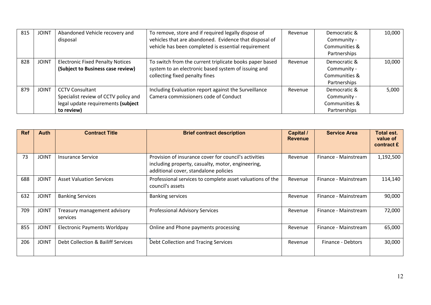| 815 | <b>JOINT</b> | Abandoned Vehicle recovery and          | To remove, store and if required legally dispose of     | Revenue | Democratic &  | 10,000 |
|-----|--------------|-----------------------------------------|---------------------------------------------------------|---------|---------------|--------|
|     |              | disposal                                | vehicles that are abandoned. Evidence that disposal of  |         | Community -   |        |
|     |              |                                         | vehicle has been completed is essential requirement     |         | Communities & |        |
|     |              |                                         |                                                         |         | Partnerships  |        |
| 828 | <b>JOINT</b> | <b>Electronic Fixed Penalty Notices</b> | To switch from the current triplicate books paper based | Revenue | Democratic &  | 10,000 |
|     |              | (Subject to Business case review)       | system to an electronic based system of issuing and     |         | Community -   |        |
|     |              |                                         | collecting fixed penalty fines                          |         | Communities & |        |
|     |              |                                         |                                                         |         | Partnerships  |        |
| 879 | <b>JOINT</b> | <b>CCTV Consultant</b>                  | Including Evaluation report against the Surveillance    | Revenue | Democratic &  | 5,000  |
|     |              | Specialist review of CCTV policy and    | Camera commissioners code of Conduct                    |         | Community -   |        |
|     |              | legal update requirements (subject      |                                                         |         | Communities & |        |
|     |              | to review)                              |                                                         |         | Partnerships  |        |

| <b>Ref</b> | Auth         | <b>Contract Title</b>                    | <b>Brief contract description</b>                                                                                                                   | <b>Capital /</b><br><b>Revenue</b> | <b>Service Area</b>  | Total est.<br>value of<br>contract £ |
|------------|--------------|------------------------------------------|-----------------------------------------------------------------------------------------------------------------------------------------------------|------------------------------------|----------------------|--------------------------------------|
| 73         | <b>JOINT</b> | Insurance Service                        | Provision of insurance cover for council's activities<br>including property, casualty, motor, engineering,<br>additional cover, standalone policies | Revenue                            | Finance - Mainstream | 1,192,500                            |
| 688        | <b>JOINT</b> | <b>Asset Valuation Services</b>          | Professional services to complete asset valuations of the<br>council's assets                                                                       | Revenue                            | Finance - Mainstream | 114,140                              |
| 632        | <b>JOINT</b> | <b>Banking Services</b>                  | <b>Banking services</b>                                                                                                                             | Revenue                            | Finance - Mainstream | 90,000                               |
| 709        | <b>JOINT</b> | Treasury management advisory<br>services | <b>Professional Advisory Services</b>                                                                                                               | Revenue                            | Finance - Mainstream | 72,000                               |
| 855        | <b>JOINT</b> | <b>Electronic Payments Worldpay</b>      | Online and Phone payments processing                                                                                                                | Revenue                            | Finance - Mainstream | 65,000                               |
| 206        | <b>JOINT</b> | Debt Collection & Bailiff Services       | Debt Collection and Tracing Services                                                                                                                | Revenue                            | Finance - Debtors    | 30,000                               |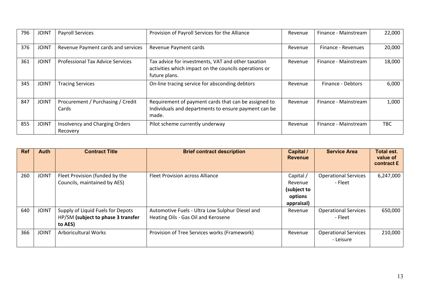| 796 | <b>JOINT</b> | <b>Payroll Services</b>                    | Provision of Payroll Services for the Alliance                                                                               | Revenue | Finance - Mainstream | 22,000     |
|-----|--------------|--------------------------------------------|------------------------------------------------------------------------------------------------------------------------------|---------|----------------------|------------|
| 376 | <b>JOINT</b> | Revenue Payment cards and services         | Revenue Payment cards                                                                                                        | Revenue | Finance - Revenues   | 20,000     |
| 361 | <b>JOINT</b> | <b>Professional Tax Advice Services</b>    | Tax advice for investments, VAT and other taxation<br>activities which impact on the councils operations or<br>future plans. | Revenue | Finance - Mainstream | 18,000     |
| 345 | <b>JOINT</b> | <b>Tracing Services</b>                    | On-line tracing service for absconding debtors                                                                               | Revenue | Finance - Debtors    | 6,000      |
| 847 | <b>JOINT</b> | Procurement / Purchasing / Credit<br>Cards | Requirement of payment cards that can be assigned to<br>Individuals and departments to ensure payment can be<br>made.        | Revenue | Finance - Mainstream | 1,000      |
| 855 | <b>JOINT</b> | Insolvency and Charging Orders<br>Recovery | Pilot scheme currently underway                                                                                              | Revenue | Finance - Mainstream | <b>TBC</b> |

| <b>Ref</b> | Auth         | <b>Contract Title</b>                         | <b>Brief contract description</b>               | Capital /<br><b>Revenue</b> | <b>Service Area</b>                      | <b>Total est.</b><br>value of<br>contract £ |
|------------|--------------|-----------------------------------------------|-------------------------------------------------|-----------------------------|------------------------------------------|---------------------------------------------|
| 260        | <b>JOINT</b> | Fleet Provision (funded by the                | <b>Fleet Provision across Alliance</b>          | Capital /                   | <b>Operational Services</b>              | 6,247,000                                   |
|            |              | Councils, maintained by AES)                  |                                                 | Revenue<br>(subject to      | - Fleet                                  |                                             |
|            |              |                                               |                                                 | options                     |                                          |                                             |
|            |              |                                               |                                                 | appraisal)                  |                                          |                                             |
| 640        | <b>JOINT</b> | Supply of Liquid Fuels for Depots             | Automotive Fuels - Ultra Low Sulphur Diesel and | Revenue                     | <b>Operational Services</b>              | 650,000                                     |
|            |              | HP/SM (subject to phase 3 transfer<br>to AES) | Heating Oils - Gas Oil and Kerosene             |                             | - Fleet                                  |                                             |
| 366        | <b>JOINT</b> | <b>Arboricultural Works</b>                   | Provision of Tree Services works (Framework)    | Revenue                     | <b>Operational Services</b><br>- Leisure | 210,000                                     |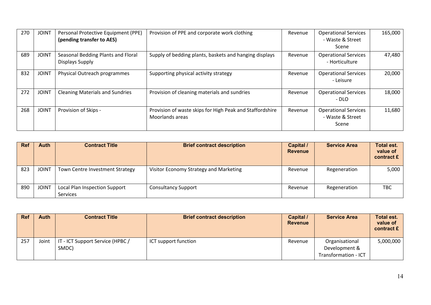| 270 | <b>JOINT</b> | Personal Protective Equipment (PPE)<br>(pending transfer to AES) | Provision of PPE and corporate work clothing                                | Revenue | <b>Operational Services</b><br>- Waste & Street<br>Scene | 165,000 |
|-----|--------------|------------------------------------------------------------------|-----------------------------------------------------------------------------|---------|----------------------------------------------------------|---------|
| 689 | <b>JOINT</b> | Seasonal Bedding Plants and Floral<br>Displays Supply            | Supply of bedding plants, baskets and hanging displays                      | Revenue | <b>Operational Services</b><br>- Horticulture            | 47,480  |
| 832 | <b>JOINT</b> | Physical Outreach programmes                                     | Supporting physical activity strategy                                       | Revenue | <b>Operational Services</b><br>- Leisure                 | 20,000  |
| 272 | <b>JOINT</b> | <b>Cleaning Materials and Sundries</b>                           | Provision of cleaning materials and sundries                                | Revenue | <b>Operational Services</b><br>$- DLO$                   | 18,000  |
| 268 | <b>JOINT</b> | Provision of Skips -                                             | Provision of waste skips for High Peak and Staffordshire<br>Moorlands areas | Revenue | <b>Operational Services</b><br>- Waste & Street<br>Scene | 11,680  |

| <b>Ref</b> | <b>Auth</b>  | <b>Contract Title</b>                            | <b>Brief contract description</b>      | Capital /<br><b>Revenue</b> | <b>Service Area</b> | <b>Total est.</b><br>value of<br>contract £ |
|------------|--------------|--------------------------------------------------|----------------------------------------|-----------------------------|---------------------|---------------------------------------------|
| 823        | <b>JOINT</b> | Town Centre Investment Strategy                  | Visitor Economy Strategy and Marketing | Revenue                     | Regeneration        | 5,000                                       |
| 890        | <b>JOINT</b> | Local Plan Inspection Support<br><b>Services</b> | <b>Consultancy Support</b>             | Revenue                     | Regeneration        | <b>TBC</b>                                  |

| <b>Ref</b> | Auth  | <b>Contract Title</b>                     | <b>Brief contract description</b> | Capital /<br><b>Revenue</b> | <b>Service Area</b>                                     | <b>Total est.</b><br>value of<br>contract £ |
|------------|-------|-------------------------------------------|-----------------------------------|-----------------------------|---------------------------------------------------------|---------------------------------------------|
| 257        | Joint | IT - ICT Support Service (HPBC /<br>SMDC) | ICT support function              | Revenue                     | Organisational<br>Development &<br>Transformation - ICT | 5,000,000                                   |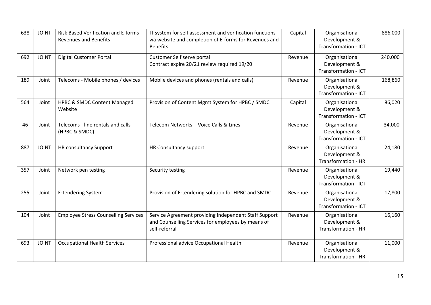| 638 | <b>JOINT</b> | Risk Based Verification and E-forms -<br><b>Revenues and Benefits</b> | IT system for self assessment and verification functions<br>via website and completion of E-forms for Revenues and<br>Benefits. | Capital | Organisational<br>Development &<br>Transformation - ICT | 886,000 |
|-----|--------------|-----------------------------------------------------------------------|---------------------------------------------------------------------------------------------------------------------------------|---------|---------------------------------------------------------|---------|
| 692 | <b>JOINT</b> | <b>Digital Customer Portal</b>                                        | Customer Self serve portal<br>Contract expire 20/21 review required 19/20                                                       | Revenue | Organisational<br>Development &<br>Transformation - ICT | 240,000 |
| 189 | Joint        | Telecoms - Mobile phones / devices                                    | Mobile devices and phones (rentals and calls)                                                                                   | Revenue | Organisational<br>Development &<br>Transformation - ICT | 168,860 |
| 564 | Joint        | <b>HPBC &amp; SMDC Content Managed</b><br>Website                     | Provision of Content Mgmt System for HPBC / SMDC                                                                                | Capital | Organisational<br>Development &<br>Transformation - ICT | 86,020  |
| 46  | Joint        | Telecoms - line rentals and calls<br>(HPBC & SMDC)                    | Telecom Networks - Voice Calls & Lines                                                                                          | Revenue | Organisational<br>Development &<br>Transformation - ICT | 34,000  |
| 887 | <b>JOINT</b> | <b>HR consultancy Support</b>                                         | HR Consultancy support                                                                                                          | Revenue | Organisational<br>Development &<br>Transformation - HR  | 24,180  |
| 357 | Joint        | Network pen testing                                                   | Security testing                                                                                                                | Revenue | Organisational<br>Development &<br>Transformation - ICT | 19,440  |
| 255 | Joint        | <b>E-tendering System</b>                                             | Provision of E-tendering solution for HPBC and SMDC                                                                             | Revenue | Organisational<br>Development &<br>Transformation - ICT | 17,800  |
| 104 | Joint        | <b>Employee Stress Counselling Services</b>                           | Service Agreement providing independent Staff Support<br>and Counselling Services for employees by means of<br>self-referral    | Revenue | Organisational<br>Development &<br>Transformation - HR  | 16,160  |
| 693 | <b>JOINT</b> | <b>Occupational Health Services</b>                                   | Professional advice Occupational Health                                                                                         | Revenue | Organisational<br>Development &<br>Transformation - HR  | 11,000  |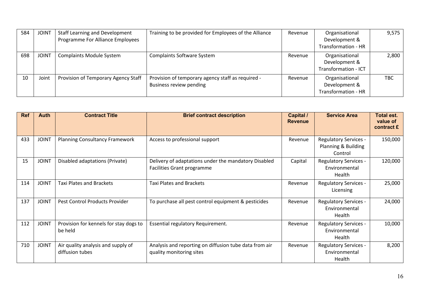| 584 | <b>JOINT</b> | <b>Staff Learning and Development</b><br>Programme For Alliance Employees | Training to be provided for Employees of the Alliance                        | Revenue | Organisational<br>Development &                                | 9,575      |
|-----|--------------|---------------------------------------------------------------------------|------------------------------------------------------------------------------|---------|----------------------------------------------------------------|------------|
|     |              |                                                                           |                                                                              |         | Transformation - HR                                            |            |
| 698 | <b>JOINT</b> | <b>Complaints Module System</b>                                           | <b>Complaints Software System</b>                                            | Revenue | Organisational<br>Development &<br><b>Transformation - ICT</b> | 2,800      |
| 10  | Joint        | Provision of Temporary Agency Staff                                       | Provision of temporary agency staff as required -<br>Business review pending | Revenue | Organisational<br>Development &<br><b>Transformation - HR</b>  | <b>TBC</b> |

| <b>Ref</b> | Auth         | <b>Contract Title</b>                                 | <b>Brief contract description</b>                                                  | Capital /<br><b>Revenue</b> | <b>Service Area</b>                                            | <b>Total est.</b><br>value of<br>contract £ |
|------------|--------------|-------------------------------------------------------|------------------------------------------------------------------------------------|-----------------------------|----------------------------------------------------------------|---------------------------------------------|
| 433        | <b>JOINT</b> | <b>Planning Consultancy Framework</b>                 | Access to professional support                                                     | Revenue                     | <b>Regulatory Services -</b><br>Planning & Building<br>Control | 150,000                                     |
| 15         | <b>JOINT</b> | Disabled adaptations (Private)                        | Delivery of adaptations under the mandatory Disabled<br>Facilities Grant programme | Capital                     | <b>Regulatory Services -</b><br>Environmental<br>Health        | 120,000                                     |
| 114        | <b>JOINT</b> | <b>Taxi Plates and Brackets</b>                       | <b>Taxi Plates and Brackets</b>                                                    | Revenue                     | <b>Regulatory Services -</b><br>Licensing                      | 25,000                                      |
| 137        | <b>JOINT</b> | Pest Control Products Provider                        | To purchase all pest control equipment & pesticides                                | Revenue                     | <b>Regulatory Services -</b><br>Environmental<br>Health        | 24,000                                      |
| 112        | <b>JOINT</b> | Provision for kennels for stay dogs to<br>be held     | Essential regulatory Requirement.                                                  | Revenue                     | Regulatory Services -<br>Environmental<br>Health               | 10,000                                      |
| 710        | <b>JOINT</b> | Air quality analysis and supply of<br>diffusion tubes | Analysis and reporting on diffusion tube data from air<br>quality monitoring sites | Revenue                     | <b>Regulatory Services -</b><br>Environmental<br>Health        | 8,200                                       |